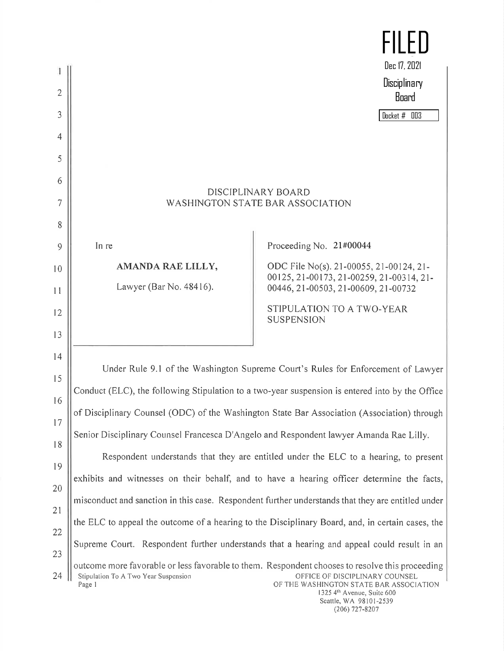

Seattle, WA 98101-2539 (206) 727-8207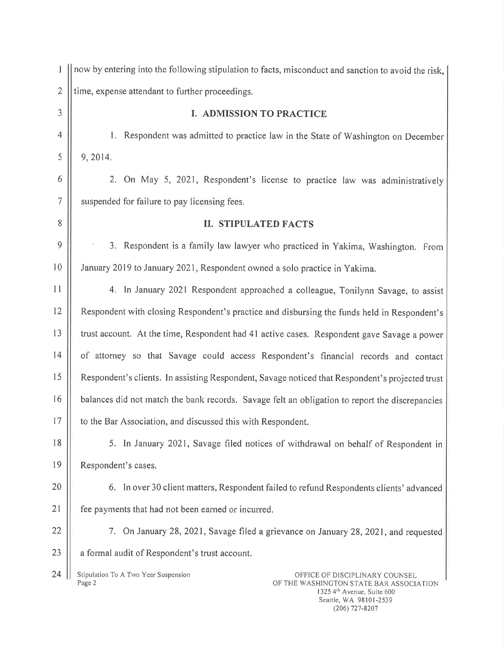| 1              | now by entering into the following stipulation to facts, misconduct and sanction to avoid the risk,                         |
|----------------|-----------------------------------------------------------------------------------------------------------------------------|
| $\mathbf{2}$   | time, expense attendant to further proceedings.                                                                             |
| 3              | <b>I. ADMISSION TO PRACTICE</b>                                                                                             |
| $\overline{4}$ | 1. Respondent was admitted to practice law in the State of Washington on December                                           |
| 5              | 9, 2014.                                                                                                                    |
| 6              | 2. On May 5, 2021, Respondent's license to practice law was administratively                                                |
| $\overline{7}$ | suspended for failure to pay licensing fees.                                                                                |
| 8              | <b>II. STIPULATED FACTS</b>                                                                                                 |
| $\mathcal{Q}$  | 3. Respondent is a family law lawyer who practiced in Yakima, Washington. From                                              |
| 10             | January 2019 to January 2021, Respondent owned a solo practice in Yakima.                                                   |
| 11             | 4. In January 2021 Respondent approached a colleague, Tonilynn Savage, to assist                                            |
| 12             | Respondent with closing Respondent's practice and disbursing the funds held in Respondent's                                 |
| 13             | trust account. At the time, Respondent had 41 active cases. Respondent gave Savage a power                                  |
| 14             | of attorney so that Savage could access Respondent's financial records and contact                                          |
| 15             | Respondent's clients. In assisting Respondent, Savage noticed that Respondent's projected trust                             |
| 16             | balances did not match the bank records. Savage felt an obligation to report the discrepancies                              |
| 17             | to the Bar Association, and discussed this with Respondent.                                                                 |
| 18             | 5. In January 2021, Savage filed notices of withdrawal on behalf of Respondent in                                           |
| 19             | Respondent's cases.                                                                                                         |
| 20             | 6. In over 30 client matters, Respondent failed to refund Respondents clients' advanced                                     |
| 21             | fee payments that had not been earned or incurred.                                                                          |
| 22             | 7. On January 28, 2021, Savage filed a grievance on January 28, 2021, and requested                                         |
| 23             | a formal audit of Respondent's trust account.                                                                               |
| 24             | Stipulation To A Two Year Suspension<br>OFFICE OF DISCIPLINARY COUNSEL<br>Page 2<br>OF THE WASHINGTON STATE BAR ASSOCIATION |

THE WASHINGTON STATE BAR ASSOCIATION 1325 4"' Avenue, Suite 600 Seattle, WA 98101-2539 (206) 727-8207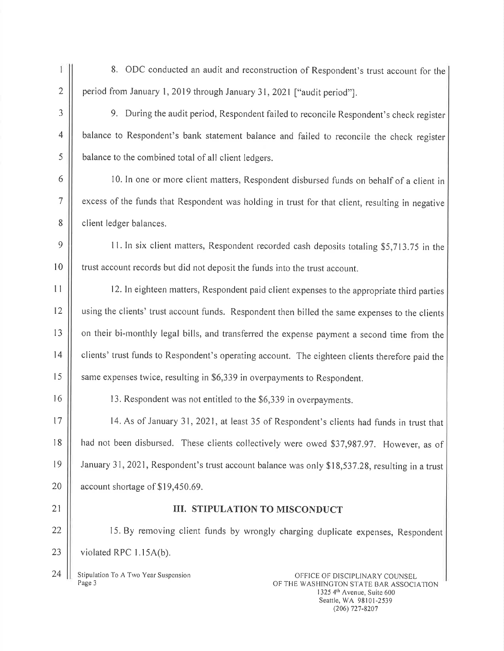8. ODC conducted an audit and reconstruction of Respondent's trust account for the 2  $\parallel$  period from January 1, 2019 through January 31, 2021 ["audit period"].

 $\tilde{1}$ 

3 | 9. During the audit period, Respondent failed to reconcile Respondent's check register 4 | balance to Respondent's bank statement balance and failed to reconcile the check register 5 **balance to the combined total of all client ledgers.** 

6 | 10. In one or more client matters, Respondent disbursed funds on behalf of a client in 7 | excess of the funds that Respondent was holding in trust for that client, resulting in negative 8 | client ledger balances.

 $9 \parallel$  11. In six client matters, Respondent recorded cash deposits totaling \$5,713.75 in the 10 | trust account records but did not deposit the funds into the trust account.

<sup>11</sup> 12. In eighteen matters, Respondent paid client expenses to the appropriate third parties 12 | using the clients' trust account funds. Respondent then billed the same expenses to the clients 13 | | on their bi-monthly legal bills, and transferred the expense payment a second time from the 14 | clients' trust funds to Respondent's operating account. The eighteen clients therefore paid the 15 | same expenses twice, resulting in \$6,339 in overpayments to Respondent.

16 | 13. Respondent was not entitled to the \$6,339 in overpayments.

17 | 14. As of January 31, 2021, at least 35 of Respondent's clients had funds in trust that 18 | had not been disbursed. These clients collectively were owed \$37,987.97. However, as of <sup>19</sup> January 31, 2021, Respondent's trust account balance was only \$18,537.28, resulting in <sup>a</sup> trust 20  $\vert\vert$  account shortage of \$19,450.69.

## 21 || III. STIPULATION TO MISCONDUCT

22 | 15. By removing client funds by wrongly charging duplicate expenses, Respondent 23  $\parallel$  violated RPC 1.15A(b).

24 | Stipulation To A Two Year Suspension **Conserversity** OFFICE OF DISCIPLINARY COUNSEL Page 3

OF THE WASHINGTON STATE BAR ASSOCIATION 1325 4<sup>th</sup> Avenue, Suite 600 Seattle, WA 98101-2539 (206) 727-8207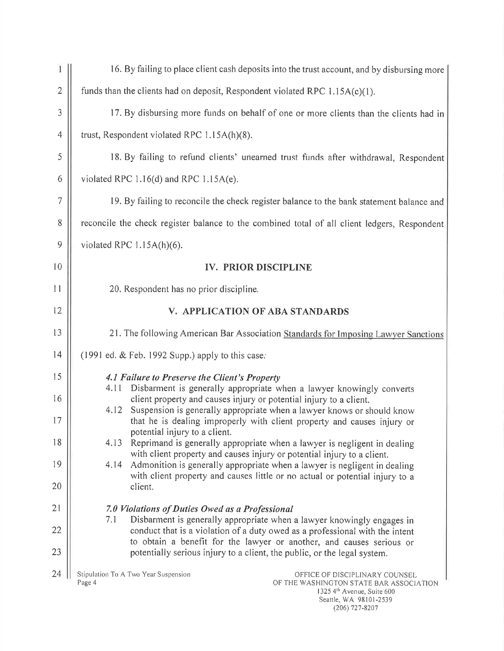| 1              | 16. By failing to place client cash deposits into the trust account, and by disbursing more                                                                       |  |  |
|----------------|-------------------------------------------------------------------------------------------------------------------------------------------------------------------|--|--|
| $\mathbf{2}$   | funds than the clients had on deposit, Respondent violated RPC $1.15A(c)(1)$ .                                                                                    |  |  |
| 3              | 17. By disbursing more funds on behalf of one or more clients than the clients had in                                                                             |  |  |
| $\overline{4}$ | trust, Respondent violated RPC 1.15A(h)(8).                                                                                                                       |  |  |
| 5              | 18. By failing to refund clients' unearned trust funds after withdrawal, Respondent                                                                               |  |  |
| 6              | violated RPC $1.16(d)$ and RPC $1.15A(e)$ .                                                                                                                       |  |  |
| $\tau$         | 19. By failing to reconcile the check register balance to the bank statement balance and                                                                          |  |  |
| 8              | reconcile the check register balance to the combined total of all client ledgers, Respondent                                                                      |  |  |
| 9              | violated RPC $1.15A(h)(6)$ .                                                                                                                                      |  |  |
| 10             | <b>IV. PRIOR DISCIPLINE</b>                                                                                                                                       |  |  |
| 11             | 20. Respondent has no prior discipline.                                                                                                                           |  |  |
| 12             | V. APPLICATION OF ABA STANDARDS                                                                                                                                   |  |  |
| 13             | 21. The following American Bar Association Standards for Imposing Lawyer Sanctions                                                                                |  |  |
| 14             | (1991 ed. & Feb. 1992 Supp.) apply to this case.                                                                                                                  |  |  |
| 15             | 4.1 Failure to Preserve the Client's Property<br>Disbarment is generally appropriate when a lawyer knowingly converts<br>4.11                                     |  |  |
| 16             | client property and causes injury or potential injury to a client.<br>4.12<br>Suspension is generally appropriate when a lawyer knows or should know              |  |  |
| 17             | that he is dealing improperly with client property and causes injury or<br>potential injury to a client.                                                          |  |  |
| 18             | 4.13<br>Reprimand is generally appropriate when a lawyer is negligent in dealing<br>with client property and causes injury or potential injury to a client.       |  |  |
| 19             | Admonition is generally appropriate when a lawyer is negligent in dealing<br>4.14<br>with client property and causes little or no actual or potential injury to a |  |  |
| 20             | client.                                                                                                                                                           |  |  |
| 21             | 7.0 Violations of Duties Owed as a Professional<br>7.1<br>Disbarment is generally appropriate when a lawyer knowingly engages in                                  |  |  |
| 22             | conduct that is a violation of a duty owed as a professional with the intent<br>to obtain a benefit for the lawyer or another, and causes serious or              |  |  |
| 23             | potentially serious injury to a client, the public, or the legal system.                                                                                          |  |  |
| 24             | Stipulation To A Two Year Suspension<br>OFFICE OF DISCIPLINARY COUNSEL<br>Page 4<br>OF THE WASHINGTON STATE BAR ASSOCIATION<br>$1325A^{th}$ Avenue Suite 600      |  |  |

1325 4lh Avenue, Suite 600 Seattle, WA 98101-2539 (206) 727-8207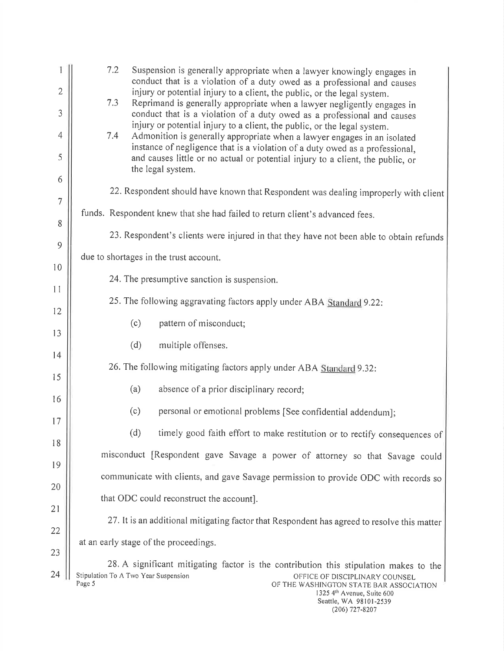|                | 7.2<br>Suspension is generally appropriate when a lawyer knowingly engages in<br>conduct that is a violation of a duty owed as a professional and causes                                                                                                       |
|----------------|----------------------------------------------------------------------------------------------------------------------------------------------------------------------------------------------------------------------------------------------------------------|
| $\mathbf{2}$   | injury or potential injury to a client, the public, or the legal system.<br>7.3<br>Reprimand is generally appropriate when a lawyer negligently engages in                                                                                                     |
| 3              | conduct that is a violation of a duty owed as a professional and causes                                                                                                                                                                                        |
| $\overline{4}$ | injury or potential injury to a client, the public, or the legal system.<br>7.4<br>Admonition is generally appropriate when a lawyer engages in an isolated                                                                                                    |
| 5              | instance of negligence that is a violation of a duty owed as a professional,<br>and causes little or no actual or potential injury to a client, the public, or<br>the legal system.                                                                            |
| 6              | 22. Respondent should have known that Respondent was dealing improperly with client                                                                                                                                                                            |
| $\overline{7}$ |                                                                                                                                                                                                                                                                |
| 8              | funds. Respondent knew that she had failed to return client's advanced fees.                                                                                                                                                                                   |
| 9              | 23. Respondent's clients were injured in that they have not been able to obtain refunds                                                                                                                                                                        |
| 10             | due to shortages in the trust account.                                                                                                                                                                                                                         |
| 11             | 24. The presumptive sanction is suspension.                                                                                                                                                                                                                    |
| 12             | 25. The following aggravating factors apply under ABA Standard 9.22:                                                                                                                                                                                           |
|                | (c)<br>pattern of misconduct;                                                                                                                                                                                                                                  |
| 13             | (d)<br>multiple offenses.                                                                                                                                                                                                                                      |
| 4              | 26. The following mitigating factors apply under ABA Standard 9.32:                                                                                                                                                                                            |
| 15             | (a)<br>absence of a prior disciplinary record;                                                                                                                                                                                                                 |
| 16             | (c)<br>personal or emotional problems [See confidential addendum];                                                                                                                                                                                             |
| 17             | (d)<br>timely good faith effort to make restitution or to rectify consequences of                                                                                                                                                                              |
| 18             | misconduct [Respondent gave Savage a power of attorney so that Savage could                                                                                                                                                                                    |
| 19             | communicate with clients, and gave Savage permission to provide ODC with records so                                                                                                                                                                            |
| 20             |                                                                                                                                                                                                                                                                |
| 21             | that ODC could reconstruct the account].                                                                                                                                                                                                                       |
| 22             | 27. It is an additional mitigating factor that Respondent has agreed to resolve this matter                                                                                                                                                                    |
| 23             | at an early stage of the proceedings.                                                                                                                                                                                                                          |
| 24             | 28. A significant mitigating factor is the contribution this stipulation makes to the<br>Stipulation To A Two Year Suspension<br>OFFICE OF DISCIPLINARY COUNSEL<br>Page 5<br>OF THE WASHINGTON STATE BAR ASSOCIATION<br>1325 4 <sup>th</sup> Avenue, Suite 600 |

Seattle, WA 98101-2539 (206) 727-8207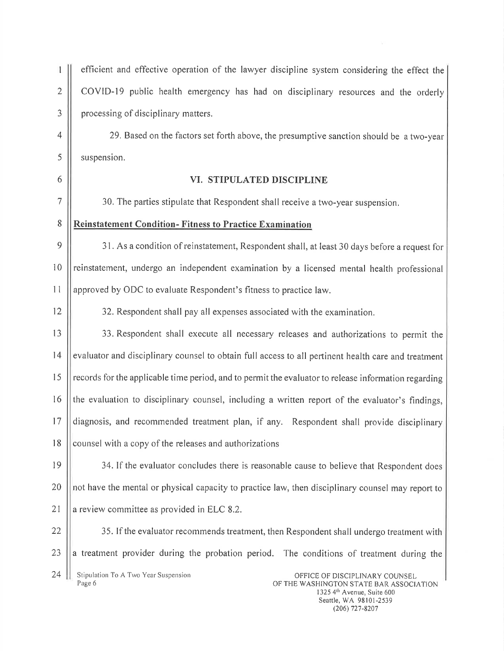efficient and effective operation of the lawyer discipline system considering the effect the  $\parallel$  COVID-19 public health emergency has had on disciplinary resources and the orderly  $3 \parallel$  processing of disciplinary matters. 29. Based on the factors set forth above, the presumptive sanction should be <sup>a</sup> two-year

 $5 \parallel$  suspension.

## 6 VI. STIPULATED DISCIPLINE

7 | 30. The parties stipulate that Respondent shall receive a two-year suspension.

## 8 Reinstatement Condition-Fitness to Practice Examination

 $9 \parallel$  31. As a condition of reinstatement, Respondent shall, at least 30 days before a request for 10 || reinstatement, undergo an independent examination by a licensed mental health professional 11 approved by ODC to evaluate Respondent's fitness to practice law.

12 | 32. Respondent shall pay all expenses associated with the examination.

 $\begin{array}{|l|l|} \hline \end{array}$  33. Respondent shall execute all necessary releases and authorizations to permit the 14 || evaluator and disciplinary counsel to obtain full access to all pertinent health care and treatment || records for the applicable time period, and to permit the evaluator to release information regarding ||the evaluation to disciplinary counsel, including a written report of the evaluator's findings, diagnosis, and recommended treatment plan, if any. Respondent shall provide disciplinary | counsel with a copy of the releases and authorizations

19  $\parallel$  34. If the evaluator concludes there is reasonable cause to believe that Respondent does 20 || not have the mental or physical capacity to practice law, then disciplinary counsel may report to 21  $\parallel$  a review committee as provided in ELC 8.2.

22 | 35. If the evaluator recommends treatment, then Respondent shall undergo treatment with  $23$  ||a treatment provider during the probation period. The conditions of treatment during the

24 Stipulation To A Two Year Suspension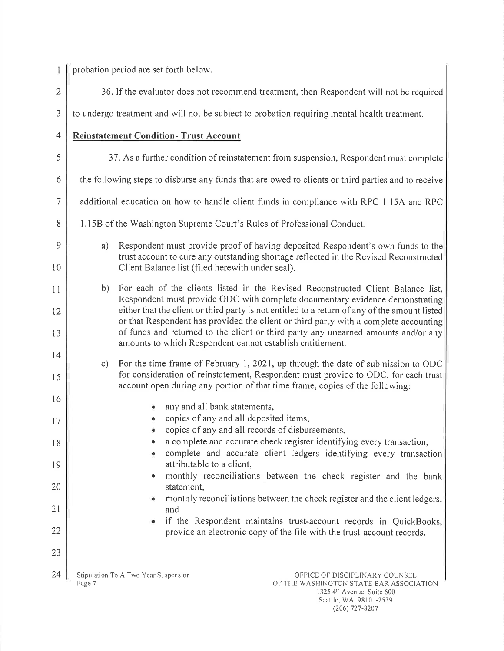|                  |                                                                                                    | probation period are set forth below.                                                                                                                                                                                                                                                                                                    |  |  |
|------------------|----------------------------------------------------------------------------------------------------|------------------------------------------------------------------------------------------------------------------------------------------------------------------------------------------------------------------------------------------------------------------------------------------------------------------------------------------|--|--|
| $\sqrt{2}$       | 36. If the evaluator does not recommend treatment, then Respondent will not be required            |                                                                                                                                                                                                                                                                                                                                          |  |  |
| $\mathfrak{Z}$   | to undergo treatment and will not be subject to probation requiring mental health treatment.       |                                                                                                                                                                                                                                                                                                                                          |  |  |
| $\overline{4}$   | <b>Reinstatement Condition- Trust Account</b>                                                      |                                                                                                                                                                                                                                                                                                                                          |  |  |
| 5                | 37. As a further condition of reinstatement from suspension, Respondent must complete              |                                                                                                                                                                                                                                                                                                                                          |  |  |
| 6                | the following steps to disburse any funds that are owed to clients or third parties and to receive |                                                                                                                                                                                                                                                                                                                                          |  |  |
| $\boldsymbol{7}$ | additional education on how to handle client funds in compliance with RPC 1.15A and RPC            |                                                                                                                                                                                                                                                                                                                                          |  |  |
| 8                | 1.15B of the Washington Supreme Court's Rules of Professional Conduct:                             |                                                                                                                                                                                                                                                                                                                                          |  |  |
| 9<br>10          | a)                                                                                                 | Respondent must provide proof of having deposited Respondent's own funds to the<br>trust account to cure any outstanding shortage reflected in the Revised Reconstructed<br>Client Balance list (filed herewith under seal).                                                                                                             |  |  |
| 11               | b)                                                                                                 | For each of the clients listed in the Revised Reconstructed Client Balance list,<br>Respondent must provide ODC with complete documentary evidence demonstrating                                                                                                                                                                         |  |  |
| 12<br>13         |                                                                                                    | either that the client or third party is not entitled to a return of any of the amount listed<br>or that Respondent has provided the client or third party with a complete accounting<br>of funds and returned to the client or third party any unearned amounts and/or any<br>amounts to which Respondent cannot establish entitlement. |  |  |
| 4<br>15          | c)                                                                                                 | For the time frame of February 1, 2021, up through the date of submission to ODC<br>for consideration of reinstatement, Respondent must provide to ODC, for each trust<br>account open during any portion of that time frame, copies of the following:                                                                                   |  |  |
| 16<br>17         |                                                                                                    | any and all bank statements,<br>copies of any and all deposited items,<br>۰                                                                                                                                                                                                                                                              |  |  |
| 18               |                                                                                                    | . copies of any and all records of disbursements,<br>a complete and accurate check register identifying every transaction,                                                                                                                                                                                                               |  |  |
| 19               |                                                                                                    | complete and accurate client ledgers identifying every transaction<br>attributable to a client,                                                                                                                                                                                                                                          |  |  |
| 20               |                                                                                                    | monthly reconciliations between the check register and the bank<br>statement,                                                                                                                                                                                                                                                            |  |  |
| 21               |                                                                                                    | monthly reconciliations between the check register and the client ledgers,<br>and                                                                                                                                                                                                                                                        |  |  |
| 22               |                                                                                                    | if the Respondent maintains trust-account records in QuickBooks,<br>provide an electronic copy of the file with the trust-account records.                                                                                                                                                                                               |  |  |
| 23               |                                                                                                    |                                                                                                                                                                                                                                                                                                                                          |  |  |
| 24               | Page 7                                                                                             | Stipulation To A Two Year Suspension<br>OFFICE OF DISCIPLINARY COUNSEL<br>OF THE WASHINGTON STATE BAR ASSOCIATION<br>1325 4th Avenue, Suite 600                                                                                                                                                                                          |  |  |

Seattle, WA 98101-2539 (206) 727-8207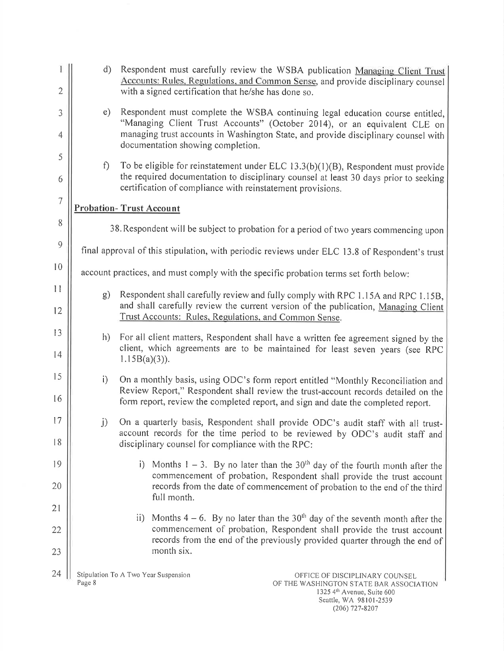|                | $\mathbf{d}$                                                                                   | Respondent must carefully review the WSBA publication Managing Client Trust<br>Accounts: Rules, Regulations, and Common Sense, and provide disciplinary counsel                                                                                                 |  |  |
|----------------|------------------------------------------------------------------------------------------------|-----------------------------------------------------------------------------------------------------------------------------------------------------------------------------------------------------------------------------------------------------------------|--|--|
| $\overline{2}$ |                                                                                                | with a signed certification that he/she has done so.                                                                                                                                                                                                            |  |  |
| 3              | e)                                                                                             | Respondent must complete the WSBA continuing legal education course entitled,<br>"Managing Client Trust Accounts" (October 2014), or an equivalent CLE on                                                                                                       |  |  |
| $\overline{4}$ |                                                                                                | managing trust accounts in Washington State, and provide disciplinary counsel with<br>documentation showing completion.                                                                                                                                         |  |  |
| 5              | f                                                                                              | To be eligible for reinstatement under ELC $13.3(b)(1)(B)$ , Respondent must provide                                                                                                                                                                            |  |  |
| 6              |                                                                                                | the required documentation to disciplinary counsel at least 30 days prior to seeking<br>certification of compliance with reinstatement provisions.                                                                                                              |  |  |
| 7              | <b>Probation-Trust Account</b>                                                                 |                                                                                                                                                                                                                                                                 |  |  |
| 8              | 38. Respondent will be subject to probation for a period of two years commencing upon          |                                                                                                                                                                                                                                                                 |  |  |
| $\overline{9}$ | final approval of this stipulation, with periodic reviews under ELC 13.8 of Respondent's trust |                                                                                                                                                                                                                                                                 |  |  |
| 10             | account practices, and must comply with the specific probation terms set forth below:          |                                                                                                                                                                                                                                                                 |  |  |
| 11<br>12       | g)                                                                                             | Respondent shall carefully review and fully comply with RPC 1.15A and RPC 1.15B,<br>and shall carefully review the current version of the publication, Managing Client<br>Trust Accounts: Rules, Regulations, and Common Sense.                                 |  |  |
| 13             | h)                                                                                             | For all client matters, Respondent shall have a written fee agreement signed by the                                                                                                                                                                             |  |  |
| 14             |                                                                                                | client, which agreements are to be maintained for least seven years (see RPC<br>$1.15B(a)(3)$ ).                                                                                                                                                                |  |  |
| 15             | i)                                                                                             | On a monthly basis, using ODC's form report entitled "Monthly Reconciliation and                                                                                                                                                                                |  |  |
| 16             |                                                                                                | Review Report," Respondent shall review the trust-account records detailed on the<br>form report, review the completed report, and sign and date the completed report.                                                                                          |  |  |
| 17             | j)                                                                                             | On a quarterly basis, Respondent shall provide ODC's audit staff with all trust-<br>account records for the time period to be reviewed by ODC's audit staff and                                                                                                 |  |  |
| 18             |                                                                                                | disciplinary counsel for compliance with the RPC:                                                                                                                                                                                                               |  |  |
| 19             |                                                                                                | Months $1 - 3$ . By no later than the 30 <sup>th</sup> day of the fourth month after the<br>i)<br>commencement of probation, Respondent shall provide the trust account                                                                                         |  |  |
| 20             |                                                                                                | records from the date of commencement of probation to the end of the third<br>full month.                                                                                                                                                                       |  |  |
| 21             |                                                                                                |                                                                                                                                                                                                                                                                 |  |  |
| 22             |                                                                                                | Months $4-6$ . By no later than the 30 <sup>th</sup> day of the seventh month after the<br>$\mathbf{ii}$<br>commencement of probation, Respondent shall provide the trust account<br>records from the end of the previously provided quarter through the end of |  |  |
| 23             |                                                                                                | month six.                                                                                                                                                                                                                                                      |  |  |
| 24             | Page 8                                                                                         | Stipulation To A Two Year Suspension<br>OFFICE OF DISCIPLINARY COUNSEL<br>OF THE WASHINGTON STATE BAR ASSOCIATION<br>$1325 \text{ Ab}$ $\Lambda$ $v_{\text{apun}}$ $\Omega$ $\mu$ $\Omega$                                                                      |  |  |

1325 4'1' Avenue, Suite 600 Seattle, WA 98101-2539 (206) 727-8207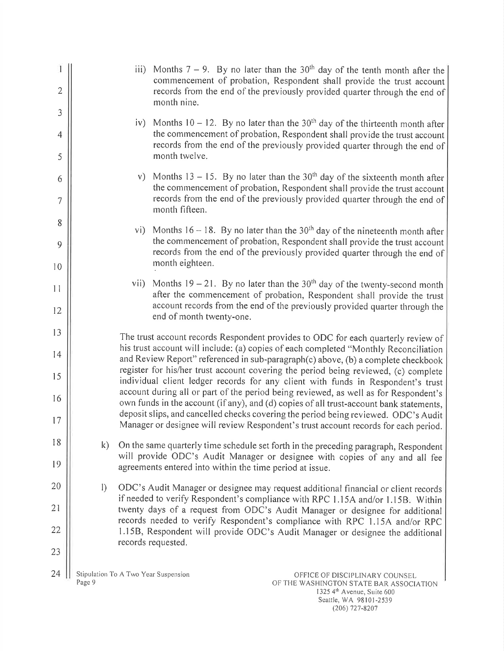|                |                                                |      |                                                          | iii) Months 7 – 9. By no later than the 30 <sup>th</sup> day of the tenth month after the<br>commencement of probation, Respondent shall provide the trust account                                                                                                  |
|----------------|------------------------------------------------|------|----------------------------------------------------------|---------------------------------------------------------------------------------------------------------------------------------------------------------------------------------------------------------------------------------------------------------------------|
| $\overline{2}$ |                                                |      | month nine.                                              | records from the end of the previously provided quarter through the end of                                                                                                                                                                                          |
| 3              |                                                |      |                                                          | iv) Months $10 - 12$ . By no later than the $30th$ day of the thirteenth month after                                                                                                                                                                                |
| $\overline{4}$ |                                                |      |                                                          | the commencement of probation, Respondent shall provide the trust account<br>records from the end of the previously provided quarter through the end of                                                                                                             |
| 5              |                                                |      | month twelve.                                            |                                                                                                                                                                                                                                                                     |
| 6              |                                                |      |                                                          | v) Months $13 - 15$ . By no later than the $30th$ day of the sixteenth month after<br>the commencement of probation, Respondent shall provide the trust account                                                                                                     |
| $\tau$         |                                                |      | month fifteen.                                           | records from the end of the previously provided quarter through the end of                                                                                                                                                                                          |
| 8              |                                                | vi)  |                                                          | Months $16 - 18$ . By no later than the $30th$ day of the nineteenth month after                                                                                                                                                                                    |
| 9              |                                                |      |                                                          | the commencement of probation, Respondent shall provide the trust account<br>records from the end of the previously provided quarter through the end of                                                                                                             |
| 10             |                                                |      | month eighteen.                                          |                                                                                                                                                                                                                                                                     |
| 11             |                                                | vii) |                                                          | Months $19 - 21$ . By no later than the $30th$ day of the twenty-second month<br>after the commencement of probation, Respondent shall provide the trust                                                                                                            |
| 12             |                                                |      | end of month twenty-one.                                 | account records from the end of the previously provided quarter through the                                                                                                                                                                                         |
| 13             |                                                |      |                                                          | The trust account records Respondent provides to ODC for each quarterly review of<br>his trust account will include: (a) copies of each completed "Monthly Reconciliation                                                                                           |
| 14<br>15       |                                                |      |                                                          | and Review Report" referenced in sub-paragraph(c) above, (b) a complete checkbook<br>register for his/her trust account covering the period being reviewed, (c) complete                                                                                            |
| 16             |                                                |      |                                                          | individual client ledger records for any client with funds in Respondent's trust<br>account during all or part of the period being reviewed, as well as for Respondent's<br>own funds in the account (if any), and (d) copies of all trust-account bank statements, |
| 17             |                                                |      |                                                          | deposit slips, and cancelled checks covering the period being reviewed. ODC's Audit<br>Manager or designee will review Respondent's trust account records for each period.                                                                                          |
| 18             | $\mathbf{k}$                                   |      |                                                          | On the same quarterly time schedule set forth in the preceding paragraph, Respondent                                                                                                                                                                                |
| 19             |                                                |      | agreements entered into within the time period at issue. | will provide ODC's Audit Manager or designee with copies of any and all fee                                                                                                                                                                                         |
| 20             | $\left  \right\rangle$                         |      |                                                          | ODC's Audit Manager or designee may request additional financial or client records                                                                                                                                                                                  |
| 21             |                                                |      |                                                          | if needed to verify Respondent's compliance with RPC 1.15A and/or 1.15B. Within<br>twenty days of a request from ODC's Audit Manager or designee for additional<br>records needed to verify Respondent's compliance with RPC 1.15A and/or RPC                       |
| 22             |                                                |      | records requested.                                       | 1.15B, Respondent will provide ODC's Audit Manager or designee the additional                                                                                                                                                                                       |
| 23             |                                                |      |                                                          |                                                                                                                                                                                                                                                                     |
| 24             | Stipulation To A Two Year Suspension<br>Page 9 |      |                                                          | OFFICE OF DISCIPLINARY COUNSEL<br>OF THE WASHINGTON STATE BAR ASSOCIATION                                                                                                                                                                                           |

1 325 4lh Avenue, Suite 600 Seattle, WA 98101-2539 (206) 727-8207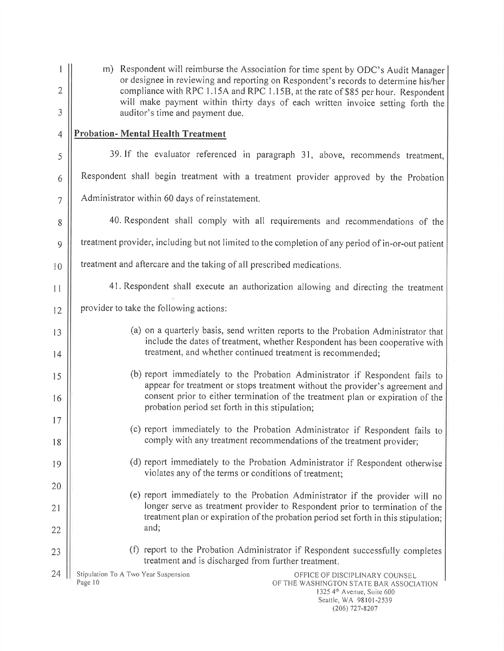|                | m) Respondent will reimburse the Association for time spent by ODC's Audit Manager                                                                                                                                                                   |
|----------------|------------------------------------------------------------------------------------------------------------------------------------------------------------------------------------------------------------------------------------------------------|
| $\overline{2}$ | or designee in reviewing and reporting on Respondent's records to determine his/her<br>compliance with RPC 1.15A and RPC 1.15B, at the rate of \$85 per hour. Respondent                                                                             |
| 3              | will make payment within thirty days of each written invoice setting forth the<br>auditor's time and payment due.                                                                                                                                    |
| 4              | <b>Probation- Mental Health Treatment</b>                                                                                                                                                                                                            |
| 5              | 39. If the evaluator referenced in paragraph 31, above, recommends treatment,                                                                                                                                                                        |
| 6              | Respondent shall begin treatment with a treatment provider approved by the Probation                                                                                                                                                                 |
| $\overline{7}$ | Administrator within 60 days of reinstatement.                                                                                                                                                                                                       |
| 8              | 40. Respondent shall comply with all requirements and recommendations of the                                                                                                                                                                         |
| 9              | treatment provider, including but not limited to the completion of any period of in-or-out patient                                                                                                                                                   |
| 10             | treatment and aftercare and the taking of all prescribed medications.                                                                                                                                                                                |
| 11             | 41. Respondent shall execute an authorization allowing and directing the treatment                                                                                                                                                                   |
| 12             | provider to take the following actions:                                                                                                                                                                                                              |
| 13             | (a) on a quarterly basis, send written reports to the Probation Administrator that<br>include the dates of treatment, whether Respondent has been cooperative with                                                                                   |
| 14             | treatment, and whether continued treatment is recommended;                                                                                                                                                                                           |
| 15             | (b) report immediately to the Probation Administrator if Respondent fails to<br>appear for treatment or stops treatment without the provider's agreement and                                                                                         |
| 16             | consent prior to either termination of the treatment plan or expiration of the<br>probation period set forth in this stipulation;                                                                                                                    |
| 17             | (c) report immediately to the Probation Administrator if Respondent fails to                                                                                                                                                                         |
| 18             | comply with any treatment recommendations of the treatment provider;                                                                                                                                                                                 |
| 19             | (d) report immediately to the Probation Administrator if Respondent otherwise<br>violates any of the terms or conditions of treatment;                                                                                                               |
| 20             |                                                                                                                                                                                                                                                      |
| 21             | (e) report immediately to the Probation Administrator if the provider will no<br>longer serve as treatment provider to Respondent prior to termination of the<br>treatment plan or expiration of the probation period set forth in this stipulation; |
| 22             | and;                                                                                                                                                                                                                                                 |
| 23             | (f) report to the Probation Administrator if Respondent successfully completes<br>treatment and is discharged from further treatment.                                                                                                                |
| 24             | Stipulation To A Two Year Suspension<br>OFFICE OF DISCIPLINARY COUNSEL<br>Page 10<br>OF THE WASHINGTON STATE BAR ASSOCIATION<br>1325 4th Avenue, Suite 600<br>Seattle, WA 98101-2539                                                                 |

(206) 727-8207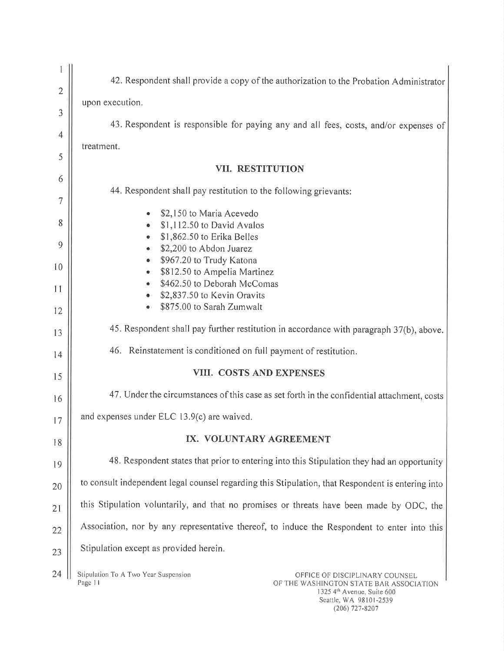| $\overline{2}$ | 42. Respondent shall provide a copy of the authorization to the Probation Administrator                                      |  |
|----------------|------------------------------------------------------------------------------------------------------------------------------|--|
| 3              | upon execution.                                                                                                              |  |
|                | 43. Respondent is responsible for paying any and all fees, costs, and/or expenses of                                         |  |
| $\overline{4}$ | treatment.                                                                                                                   |  |
| 5              | VII. RESTITUTION                                                                                                             |  |
| 6              |                                                                                                                              |  |
| 7              | 44. Respondent shall pay restitution to the following grievants:                                                             |  |
| 8              | \$2,150 to Maria Acevedo                                                                                                     |  |
|                | \$1,112.50 to David Avalos<br>\$1,862.50 to Erika Belles                                                                     |  |
| 9              | \$2,200 to Abdon Juarez                                                                                                      |  |
|                | \$967.20 to Trudy Katona<br>$\bullet$                                                                                        |  |
| 10             | \$812.50 to Ampelia Martinez                                                                                                 |  |
|                | \$462.50 to Deborah McComas                                                                                                  |  |
| 11             | \$2,837.50 to Kevin Oravits                                                                                                  |  |
| 12             | \$875.00 to Sarah Zumwalt                                                                                                    |  |
| 13             | 45. Respondent shall pay further restitution in accordance with paragraph 37(b), above.                                      |  |
| 14             | 46. Reinstatement is conditioned on full payment of restitution.                                                             |  |
| 15             | VIII. COSTS AND EXPENSES                                                                                                     |  |
| 16             | 47. Under the circumstances of this case as set forth in the confidential attachment, costs                                  |  |
| 17             | and expenses under ELC 13.9(c) are waived.                                                                                   |  |
| 18             | IX. VOLUNTARY AGREEMENT                                                                                                      |  |
| 19             | 48. Respondent states that prior to entering into this Stipulation they had an opportunity                                   |  |
| 20             | to consult independent legal counsel regarding this Stipulation, that Respondent is entering into                            |  |
| 21             | this Stipulation voluntarily, and that no promises or threats have been made by ODC, the                                     |  |
| 22             | Association, nor by any representative thereof, to induce the Respondent to enter into this                                  |  |
| 23             | Stipulation except as provided herein.                                                                                       |  |
| 24             | Stipulation To A Two Year Suspension<br>OFFICE OF DISCIPLINARY COUNSEL<br>Page 11<br>OF THE WASHINGTON STATE BAR ASSOCIATION |  |

OF THE WASHINGTON STATE BAR ASSOCIATION 1325 4<sup>m</sup> Avenue. Suite 600 Seattle, WA 98101-2539 (206) 727-8207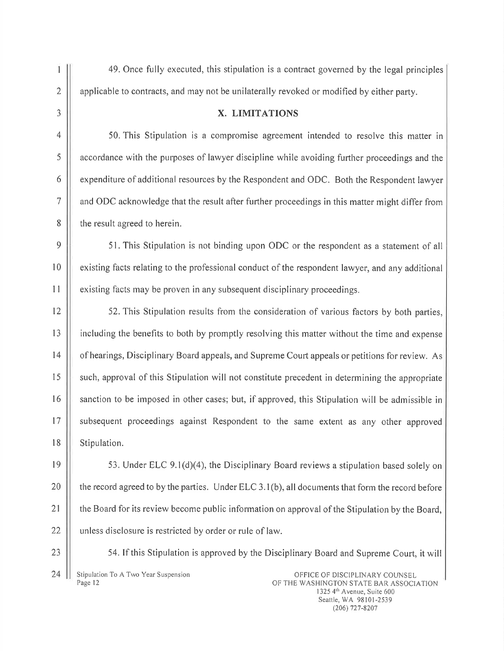<sup>I</sup> 49. Once fully executed, this stipulation is <sup>a</sup> contract governed by the legal principles 2 | applicable to contracts, and may not be unilaterally revoked or modified by either party.

## $\vert$  3  $\vert$  X. LIMITATIONS

4 | 50. This Stipulation is a compromise agreement intended to resolve this matter in 5 | accordance with the purposes of lawyer discipline while avoiding further proceedings and the  $6 \parallel$  expenditure of additional resources by the Respondent and ODC. Both the Respondent lawyer <sup>7</sup> and ODC acknowledge that the result after further proceedings in this matter might differ from 8 | the result agreed to herein.

9 | 51. This Stipulation is not binding upon ODC or the respondent as a statement of all <sup>10</sup> existing facts relating to the professional conduct of the respondent lawyer, and any additional 11 | existing facts may be proven in any subsequent disciplinary proceedings.

12 | 52. This Stipulation results from the consideration of various factors by both parties, 13 including the benefits to both by promptly resolving this matter without the time and expense 14 | of hearings, Disciplinary Board appeals, and Supreme Court appeals or petitions for review. As <sup>15</sup> such, approval of this Stipulation will not constitute precedent in determining the appropriate 16 | sanction to be imposed in other cases; but, if approved, this Stipulation will be admissible in 17 || subsequent proceedings against Respondent to the same extent as any other approved 18 || Stipulation.

 $\vert\vert$  53. Under ELC 9.1(d)(4), the Disciplinary Board reviews a stipulation based solely on  $\parallel$  the record agreed to by the parties. Under ELC 3.1(b), all documents that form the record before 21 | the Board for its review become public information on approval of the Stipulation by the Board, || unless disclosure is restricted by order or rule of law.

24 Stipulation To A Two Year Suspension **Conserversion** OFFICE OF DISCIPLINARY COUNSEL Page 12